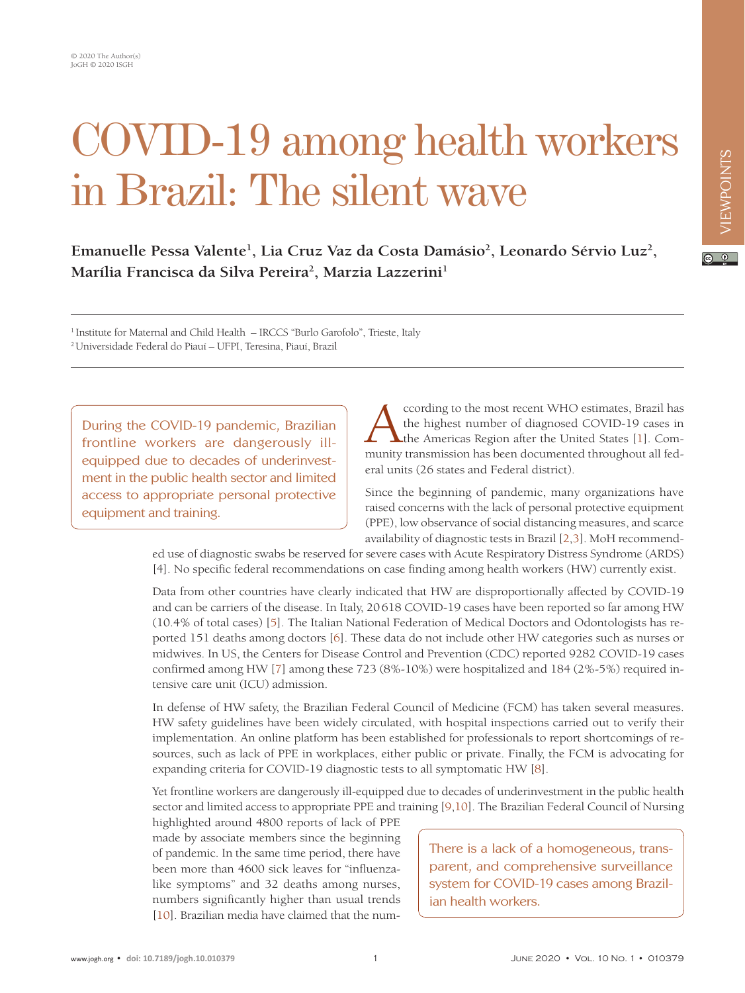## COVID-19 among health workers in Brazil: The silent wave

## $\boxed{6}$  0

Emanuelle Pessa Valente<sup>1</sup>, Lia Cruz Vaz da Costa Damásio<sup>2</sup>, Leonardo Sérvio Luz<sup>2</sup>, **Marília Francisca da Silva Pereira2 , Marzia Lazzerini1**

1 Institute for Maternal and Child Health – IRCCS "Burlo Garofolo", Trieste, Italy 2 Universidade Federal do Piauí – UFPI, Teresina, Piauí, Brazil

During the COVID-19 pandemic, Brazilian frontline workers are dangerously illequipped due to decades of underinvestment in the public health sector and limited access to appropriate personal protective equipment and training.

ccording to the most recent WHO estimates, Brazil has the highest number of diagnosed COVID-19 cases in the Americas Region after the United States [1]. Community transmission has been documented throughout all federal units (26 states and Federal district).

Since the beginning of pandemic, many organizations have raised concerns with the lack of personal protective equipment (PPE), low observance of social distancing measures, and scarce availability of diagnostic tests in Brazil [\[2](#page-2-1)[,3](#page-2-2)]. MoH recommend-

ed use of diagnostic swabs be reserved for severe cases with Acute Respiratory Distress Syndrome (ARDS) [4]. No specific federal recommendations on case finding among health workers (HW) currently exist.

Data from other countries have clearly indicated that HW are disproportionally affected by COVID-19 and can be carriers of the disease. In Italy, 20618 COVID-19 cases have been reported so far among HW (10.4% of total cases) [\[5](#page-2-3)]. The Italian National Federation of Medical Doctors and Odontologists has reported 151 deaths among doctors [[6\]](#page-2-4). These data do not include other HW categories such as nurses or midwives. In US, the Centers for Disease Control and Prevention (CDC) reported 9282 COVID-19 cases confirmed among HW [\[7](#page-2-5)] among these 723 (8%-10%) were hospitalized and 184 (2%-5%) required intensive care unit (ICU) admission.

In defense of HW safety, the Brazilian Federal Council of Medicine (FCM) has taken several measures. HW safety guidelines have been widely circulated, with hospital inspections carried out to verify their implementation. An online platform has been established for professionals to report shortcomings of resources, such as lack of PPE in workplaces, either public or private. Finally, the FCM is advocating for expanding criteria for COVID-19 diagnostic tests to all symptomatic HW [\[8\]](#page-2-6).

Yet frontline workers are dangerously ill-equipped due to decades of underinvestment in the public health sector and limited access to appropriate PPE and training [[9](#page-2-7)[,10](#page-2-8)]. The Brazilian Federal Council of Nursing

highlighted around 4800 reports of lack of PPE made by associate members since the beginning of pandemic. In the same time period, there have been more than 4600 sick leaves for "influenzalike symptoms" and 32 deaths among nurses, numbers significantly higher than usual trends [\[10\]](#page-2-8). Brazilian media have claimed that the num-

There is a lack of a homogeneous, transparent, and comprehensive surveillance system for COVID-19 cases among Brazilian health workers.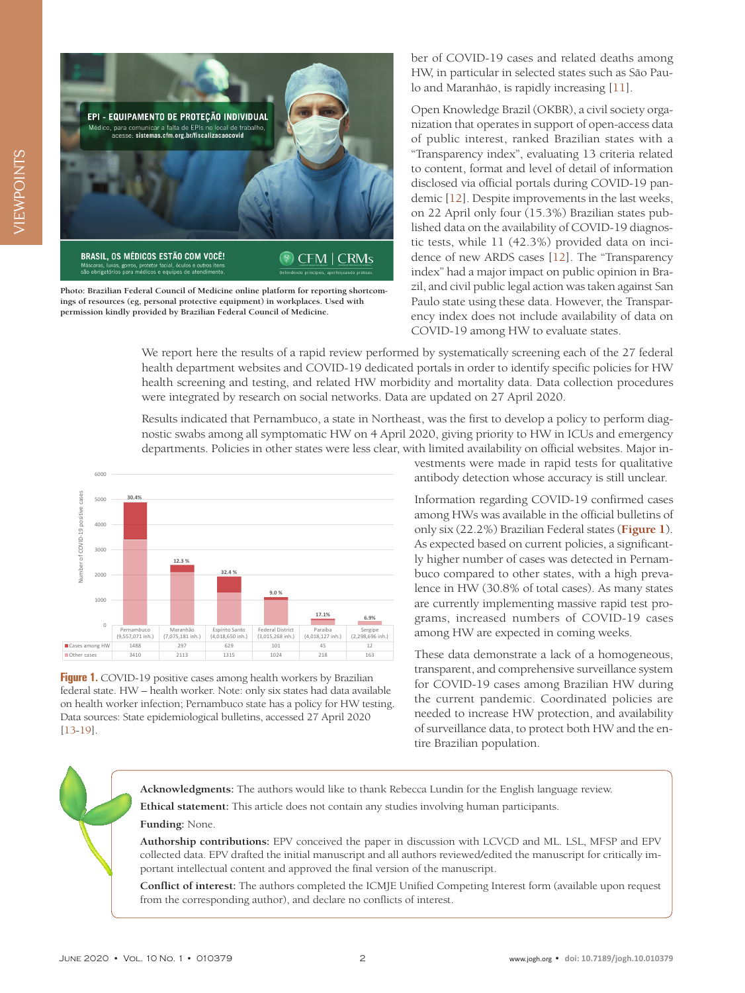

**Photo: Brazilian Federal Council of Medicine online platform for reporting shortcomings of resources (eg, personal protective equipment) in workplaces. Used with permission kindly provided by Brazilian Federal Council of Medicine.**

ber of COVID-19 cases and related deaths among HW, in particular in selected states such as São Paulo and Maranhão, is rapidly increasing [[11](#page-2-9)].

Open Knowledge Brazil (OKBR), a civil society organization that operates in support of open-access data of public interest, ranked Brazilian states with a "Transparency index", evaluating 13 criteria related to content, format and level of detail of information disclosed via official portals during COVID-19 pandemic [\[12\]](#page-2-10). Despite improvements in the last weeks, on 22 April only four (15.3%) Brazilian states published data on the availability of COVID-19 diagnostic tests, while 11 (42.3%) provided data on incidence of new ARDS cases [[12](#page-2-10)]. The "Transparency index" had a major impact on public opinion in Brazil, and civil public legal action was taken against San Paulo state using these data. However, the Transparency index does not include availability of data on COVID-19 among HW to evaluate states.

We report here the results of a rapid review performed by systematically screening each of the 27 federal health department websites and COVID-19 dedicated portals in order to identify specific policies for HW health screening and testing, and related HW morbidity and mortality data. Data collection procedures were integrated by research on social networks. Data are updated on 27 April 2020.

Results indicated that Pernambuco, a state in Northeast, was the first to develop a policy to perform diagnostic swabs among all symptomatic HW on 4 April 2020, giving priority to HW in ICUs and emergency departments. Policies in other states were less clear, with limited availability on official websites. Major in-

<span id="page-1-0"></span>

**Figure 1.** COVID-19 positive cases among health workers by Brazilian federal state. HW – health worker. Note: only six states had data available on health worker infection; Pernambuco state has a policy for HW testing. Data sources: State epidemiological bulletins, accessed 27 April 2020 [\[13-](#page-2-11)[19\]](#page-2-12).

vestments were made in rapid tests for qualitative antibody detection whose accuracy is still unclear.

Information regarding COVID-19 confirmed cases among HWs was available in the official bulletins of only six (22.2%) Brazilian Federal states (**[Figure 1](#page-1-0)**). As expected based on current policies, a significantly higher number of cases was detected in Pernambuco compared to other states, with a high prevalence in HW (30.8% of total cases). As many states are currently implementing massive rapid test programs, increased numbers of COVID-19 cases among HW are expected in coming weeks.

These data demonstrate a lack of a homogeneous, transparent, and comprehensive surveillance system for COVID-19 cases among Brazilian HW during the current pandemic. Coordinated policies are needed to increase HW protection, and availability of surveillance data, to protect both HW and the entire Brazilian population.

**Acknowledgments:** The authors would like to thank Rebecca Lundin for the English language review. **Ethical statement:** This article does not contain any studies involving human participants.

## **Funding:** None.

**Authorship contributions:** EPV conceived the paper in discussion with LCVCD and ML. LSL, MFSP and EPV collected data. EPV drafted the initial manuscript and all authors reviewed/edited the manuscript for critically important intellectual content and approved the final version of the manuscript.

**Conflict of interest:** The authors completed the ICMJE Unified Competing Interest form (available upon request from the corresponding author), and declare no conflicts of interest.